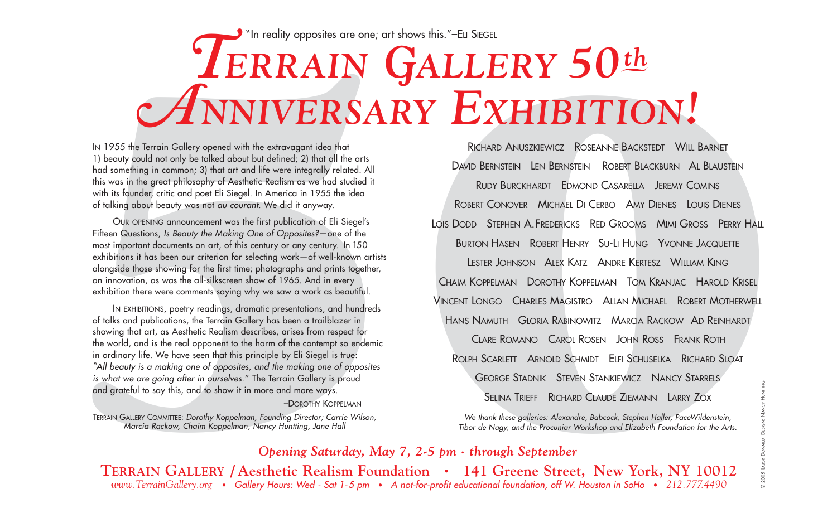## " In reality opposites are one; art shows this."–ELI SIEGEL *T***ERRAIN** *GALLERY 50th ANNIVERSARY EXHIBITION !*

IN 1955 the Terrain Gallery opened with the extravagant idea that 1) beauty could not only be talked about but defined; 2) that all the arts had something in common; 3) that art and life were integrally related. All this was in the great philosophy of Aesthetic Realism as we had studied it with its founder, critic and poet Eli Siegel. In America in 1955 the idea of talking about beauty was not au courant. We did it anyway.

OUR OPENING announcement was the first publication of Eli Siegel's Fifteen Questions, Is Beauty the Making One of Opposites?—one of the most important documents on art, of this century or any century. In <sup>150</sup> exhibitions it has been our criterion for selecting work—of well-known artists alongside those showing for the first time; photographs and prints together, an innovation, as was the all-silkscreen show of 1965. And in every exhibition there were comments saying why we saw a work as beautiful.

IN 1955 the Terrain Gallery opened with the extravegant idea that the state of the state and the state of the state and the state and the state of the state and the state of the state and the state and the state of this wa IN EXHIBITIONS, poetry readings, dramatic presentations, and hundreds of talks and publications, the Terrain Gallery has been a trailblazer in showing that art, as Aesthetic Realism describes, arises from respect for the world, and is the real opponent to the harm of the contempt so endemic in ordinary life. We have seen that this principle by Eli Siegel is true: All beauty is a making one of opposites, and the making one of opposites " is what we are going after in ourselves." The Terrain Gallery is proud and grateful to say this, and to show it in more and more ways.

## –DOROTHY KOPPELMAN

TERRAIN GALLERY COMMITTEE: Dorothy Koppelman, Founding Director; Carrie Wilson, Marcia Rackow, Chaim Koppelman, Nancy Huntting, Jane Hall

**EXAMPLE THE RESEARCT CONSTRAINER SERVES SERVES SERVES SERVES SERVES SERVES SERVES SERVES SERVES SERVES SERVES SERVES SERVES SERVES SERVES SERVES SERVES SERVES SERVES SERVES SERVES SERVES SERVES SERVES SERVES SERVES SERVES** Richard Anuszkiewicz Roseanne Backstedt Will Barnet David Bernstein Len Bernstein Robert Blackburn Al Blaustein RUDY BURCKHARDT EDMOND CASARELLA JEREMY COMINS ROBERT CONOVER MICHAEL DI CERBO AMY DIENES LOUIS DIENES LOIS DODD Stephen A. Fredericks Red Grooms Mimi Gross Perry Hall Burton Hasen  $\,$  Robert Henry  $\,$  Su-Li Hung  $\,$  Yvonne Jacquette Lester Johnson – Alex Katz – Andre Kertesz – William King Chaim Koppelman - Dorothy Koppelman - Tom Kranjac - Harold Krisel VINCENT LONGO CHARLES MAGISTRO ALLAN MICHAEL ROBERT MOTHERWELL Hans Namuth Gloria Rabinowitz Marcia Rackow Ad Reinhardt Clare Romano Carol Rosen John Ross Frank Roth Rolph Scarlett Arnold Schmidt Elfi Schuselka Richard Sloat GEORGE STADNIK STEVEN STANKIEWICZ NANCY STARRELS SELINA TRIEFF RICHARD CLAUDE ZIEMANN LARRY ZOX

We thank these galleries: Alexandre, Babcock, Stephen Haller, PaceWildenstein, Tibor de Nagy, and the Procuniar Workshop and Elizabeth Foundation for the Arts.

## *Opening Saturday, May 7, 2-5 pm • through September*

**TERRAIN GALLERY / Aesthetic Realism Foundation • 141 Greene Street, New York, NY 10012** *www.TerrainGallery.org •* Gallery Hours: Wed - Sat 1-5 pm *•* A not-for-profit educational foundation, off W. Houston in SoHo *• 212.777.4490*